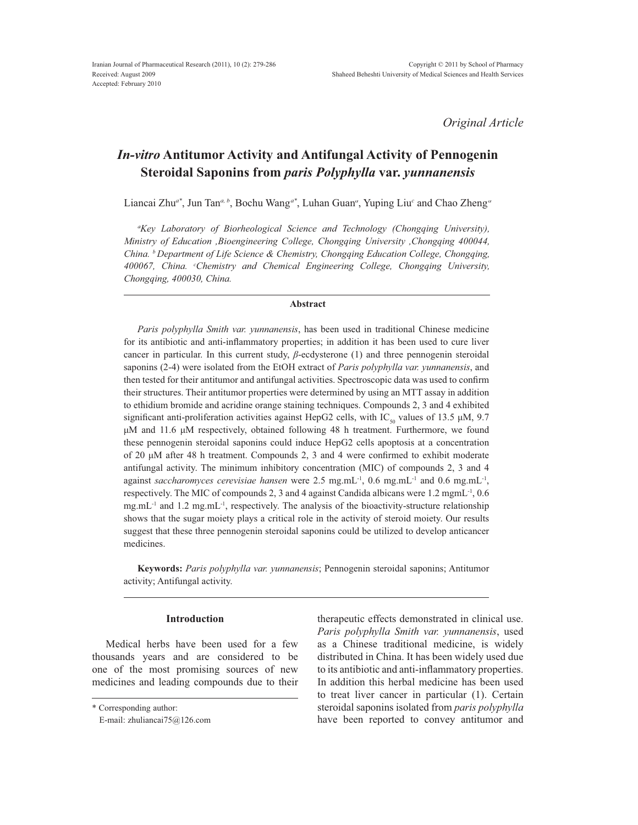*Original Article*

# *In-vitro* **Antitumor Activity and Antifungal Activity of Pennogenin Steroidal Saponins from** *paris Polyphylla* **var.** *yunnanensis*

Liancai Zhu<sup>a\*</sup>, Jun Tan<sup>a, b</sup>, Bochu Wang<sup>a\*</sup>, Luhan Guan<sup>a</sup>, Yuping Liu<sup>c</sup> and Chao Zheng<sup>a</sup>

*a Key Laboratory of Biorheological Science and Technology (Chongqing University), Ministry of Education ,Bioengineering College, Chongqing University ,Chongqing 400044, China. <sup>b</sup> Department of Life Science & Chemistry, Chongqing Education College, Chongqing, &KLQD <sup>c</sup> Chemistry and Chemical Engineering College, Chongqing University, Chongqing, 400030, China.*

## **Abstract**

*Paris polyphylla Smith var. yunnanensis*, has been used in traditional Chinese medicine for its antibiotic and anti-inflammatory properties; in addition it has been used to cure liver cancer in particular. In this current study,  $\beta$ -ecdysterone (1) and three pennogenin steroidal saponins (2-4) were isolated from the EtOH extract of *Paris polyphylla var. yunnanensis*, and then tested for their antitumor and antifungal activities. Spectroscopic data was used to confirm their structures. Their antitumor properties were determined by using an MTT assay in addition to ethidium bromide and acridine orange staining techniques. Compounds 2, 3 and 4 exhibited significant anti-proliferation activities against HepG2 cells, with IC<sub>50</sub> values of 13.5  $\mu$ M, 9.7 µM and 11.6 µM respectively, obtained following 48 h treatment. Furthermore, we found these pennogenin steroidal saponins could induce HepG2 cells apoptosis at a concentration of 20  $\mu$ M after 48 h treatment. Compounds 2, 3 and 4 were confirmed to exhibit moderate antifungal activity. The minimum inhibitory concentration (MIC) of compounds 2, 3 and 4 against *saccharomyces cerevisiae hansen* were 2.5 mg.mL<sup>-1</sup>, 0.6 mg.mL<sup>-1</sup> and 0.6 mg.mL<sup>-1</sup>, respectively. The MIC of compounds 2, 3 and 4 against Candida albicans were 1.2 mgmL<sup>-1</sup>, 0.6  $mg.mL^{-1}$  and 1.2 mg.mL<sup>-1</sup>, respectively. The analysis of the bioactivity-structure relationship shows that the sugar moiety plays a critical role in the activity of steroid moiety. Our results suggest that these three pennogenin steroidal saponins could be utilized to develop anticancer medicines.

**Keywords:** *Paris polyphylla var. yunnanensis*; Pennogenin steroidal saponins; Antitumor activity; Antifungal activity.

# **Introduction**

Medical herbs have been used for a few thousands years and are considered to be one of the most promising sources of new medicines and leading compounds due to their therapeutic effects demonstrated in clinical use. *Paris polyphylla Smith var. yunnanensis*, used as a Chinese traditional medicine, is widely distributed in China. It has been widely used due to its antibiotic and anti-inflammatory properties. In addition this herbal medicine has been used to treat liver cancer in particular (1). Certain steroidal saponins isolated from *paris polyphylla* have been reported to convey antitumor and

<sup>\*</sup> Corresponding author:

E-mail: zhuliancai75@126.com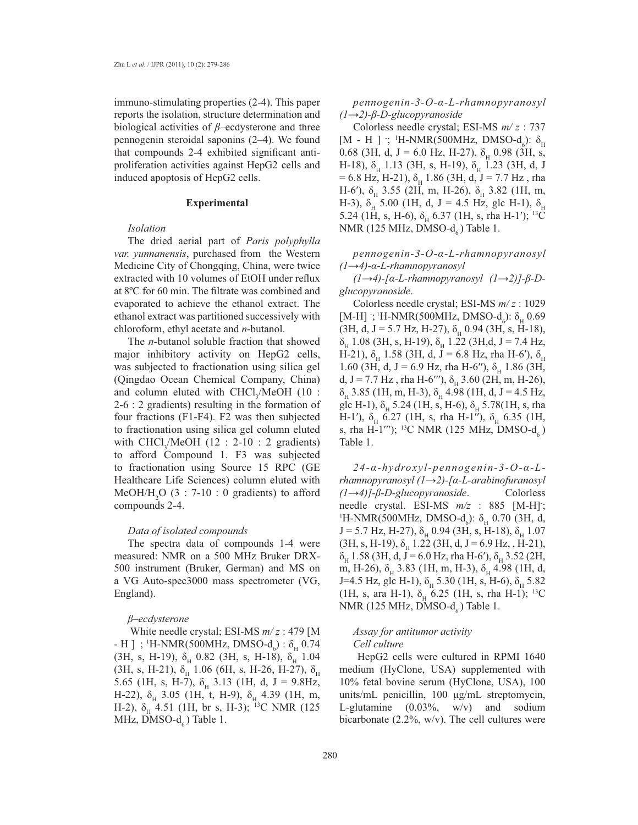immuno-stimulating properties (2-4). This paper reports the isolation, structure determination and biological activities of  $\beta$ –ecdysterone and three pennogenin steroidal saponins (2–4). We found that compounds 2-4 exhibited significant antiproliferation activities against HepG2 cells and induced apoptosis of HepG2 cells.

#### **Experimental**

# *Isolation*

The dried aerial part of *Paris polyphylla var. yunnanensis*, purchased from the Western Medicine City of Chongqing, China, were twice extracted with 10 volumes of EtOH under reflux at 8°C for 60 min. The filtrate was combined and evaporated to achieve the ethanol extract. The ethanol extract was partitioned successively with chloroform, ethyl acetate and *n*-butanol.

The *n*-butanol soluble fraction that showed major inhibitory activity on HepG2 cells, was subjected to fractionation using silica gel (Qingdao Ocean Chemical Company, China) and column eluted with CHCl<sub>3</sub>/MeOH (10 : 2-6 : 2 gradients) resulting in the formation of four fractions (F1-F4). F2 was then subjected to fractionation using silica gel column eluted with  $CHCl<sub>3</sub>/MeOH$  (12 : 2-10 : 2 gradients) to afford Compound 1. F3 was subjected to fractionation using Source 15 RPC (GE Healthcare Life Sciences) column eluted with  $MeOH/H<sub>2</sub>O$  (3 : 7-10 : 0 gradients) to afford compounds 2-4.

#### *Data of isolated compounds*

The spectra data of compounds 1-4 were measured: NMR on a 500 MHz Bruker DRX-500 instrument (Bruker, German) and MS on a VG Auto-spec3000 mass spectrometer (VG, England).

#### *β*–ecdysterone

White needle crystal; ESI-MS *m/ z* : 479 [M - H ] ; <sup>1</sup>H-NMR(500MHz, DMSO- $d_6$ ) :  $\delta_{\rm H}$  0.74 (3H, s, H-19),  $\delta_{\rm H}$  0.82 (3H, s, H-18),  $\delta_{\rm H}$  1.04 (3H, s, H-21),  $\delta_{\rm H}^{2}$  1.06 (6H, s, H-26, H-27),  $\delta_{\rm H}$ 5.65 (1H, s, H-7),  $\delta_{\rm H}$  3.13 (1H, d, J = 9.8Hz, H-22),  $\delta_{\rm H}$  3.05 (1H, t, H-9),  $\delta_{\rm H}$  4.39 (1H, m, H-2),  $\delta_{\text{H}}$  4.51 (1H, br s, H-3); <sup>13</sup>C NMR (125 MHz, DMSO- $d_{\epsilon}$ ) Table 1.

pennogenin-3-O-α-L-rhamnopyranosyl  $(l\rightarrow 2)$ - $\beta$ - $D$ -glucopyranoside

Colorless needle crystal; ESI-MS *m/ z* : 737 [M - H ] ; <sup>1</sup>H-NMR(500MHz, DMSO-d<sub>6</sub>):  $\delta$ <sub>H</sub> 0.68 (3H, d, J = 6.0 Hz, H-27),  $\delta_{\rm H}$  0.98 (3H, s, H-18),  $\delta_{\rm H}$  1.13 (3H, s, H-19),  $\delta_{\rm H}$  1.23 (3H, d, J  $= 6.8$  Hz, H-21),  $\delta_{\text{H}}$  1.86 (3H, d, J = 7.7 Hz, rha H-6'),  $\delta_{\rm H}$  3.55 (2H, m, H-26),  $\delta_{\rm H}$  3.82 (1H, m, H-3),  $\delta_{\rm H}$  5.00 (1H, d, J = 4.5 Hz, glc H-1),  $\delta_{\rm H}$ 5.24 (1H, s, H-6),  $\delta_{\rm H}$  6.37 (1H, s, rha H-1'); <sup>13</sup>C NMR (125 MHz, DMSO- $d_6$ ) Table 1.

pennogenin-3-O-α-L-rhamnopyranosyl  $(l\rightarrow 4)$ - $\alpha$ -L-rhamnopyranosyl

 $(l\rightarrow 4)$ -[a-L-rhamnopyranosyl  $(l\rightarrow 2)$ ]- $\beta$ -D*glucopyranoside*.

Colorless needle crystal; ESI-MS *m/ z* : 1029 [M-H] ; <sup>1</sup>H-NMR(500MHz, DMSO-d<sub>6</sub>):  $\delta_{\text{H}}$  0.69  $(3H, d, J = 5.7 Hz, H-27), \delta_{H}$  0.94 (3H, s, H-18),  $\delta_{\rm H}$  1.08 (3H, s, H-19),  $\delta_{\rm H}$  1.22 (3H,d, J = 7.4 Hz, H-21),  $\delta_{\rm H}$  1.58 (3H, d, J = 6.8 Hz, rha H-6'),  $\delta_{\rm H}$ 1.60 (3H, d, J = 6.9 Hz, rha H-6"),  $\delta_{\rm H}$  1.86 (3H, d, J = 7.7 Hz, rha H-6"'),  $\delta_{H}$  3.60 (2H, m, H-26),  $\delta_{\rm H}$  3.85 (1H, m, H-3),  $\delta_{\rm H}$  4.98 (1H, d, J = 4.5 Hz, glc H-1),  $\delta_{\rm H}$  5.24 (1H, s, H-6),  $\delta_{\rm H}$  5.78(1H, s, rha H-1'),  $\delta_{\rm H}$  6.27 (1H, s, rha H-1''),  $\delta_{\rm H}$  6.35 (1H, s, rha H-1‴); <sup>13</sup>C NMR (125 MHz, DMSO-d<sub>6</sub>) Table 1.

 $24$ - $\alpha$ -hydroxyl-pennogenin-3-O- $\alpha$ -L $r$ hamnopyranosyl (1 $\rightarrow$ 2)-[a-L-arabinofuranosyl *(l*→4)*]*-β-D-glucopyranoside. Colorless needle crystal. ESI-MS  $m/z$  : 885 [M-H];  ${}^{1}$ H-NMR(500MHz, DMSO-d<sub>6</sub>):  $\delta_{\text{H}}$  0.70 (3H, d,  $J = 5.7$  Hz, H-27),  $\delta_{H}$  0.94 (3H, s, H-18),  $\delta_{H}$  1.07  $(3H, s, H-19), \delta_{H}$  1.22  $(3H, d, J = 6.9 \text{ Hz}, , H-21),$  $\delta_{\text{H}}$  1.58 (3H, d, J = 6.0 Hz, rha H-6'),  $\delta_{\text{H}}$  3.52 (2H, m, H-26),  $\delta_{\rm H}$  3.83 (1H, m, H-3),  $\delta_{\rm H}$  4.98 (1H, d, J=4.5 Hz, glc H-1),  $\delta_{\rm H}$  5.30 (1H, s, H-6),  $\delta_{\rm H}$  5.82 (1H, s, ara H-1),  $\delta_{\rm H}$  6.25 (1H, s, rha H-1); <sup>13</sup>C NMR (125 MHz, DMSO- $d_6$ ) Table 1.

## *Assay for antitumor activity Cell culture*

 HepG2 cells were cultured in RPMI 1640 medium (HyClone, USA) supplemented with 10% fetal bovine serum (HyClone, USA), 100 units/mL penicillin,  $100 \mu g/mL$  streptomycin, L-glutamine  $(0.03\%, w/v)$  and sodium bicarbonate  $(2.2\%, w/v)$ . The cell cultures were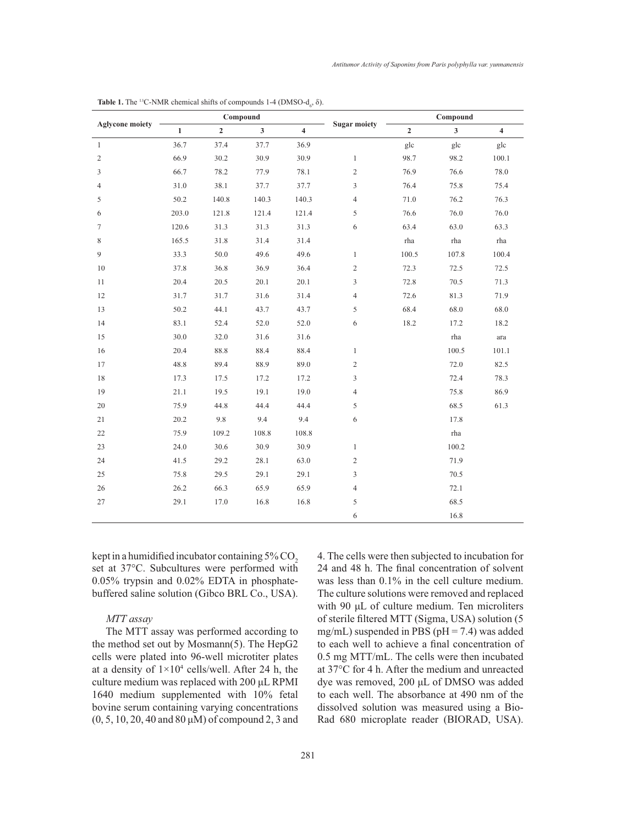| <b>Aglycone moiety</b> | Compound     |                |              |                |                     | Compound       |                         |                         |
|------------------------|--------------|----------------|--------------|----------------|---------------------|----------------|-------------------------|-------------------------|
|                        | $\mathbf{1}$ | $\overline{2}$ | $\mathbf{3}$ | $\overline{4}$ | <b>Sugar moiety</b> | $\overline{2}$ | $\overline{\mathbf{3}}$ | $\overline{\mathbf{4}}$ |
| $\mathbf{1}$           | 36.7         | 37.4           | 37.7         | 36.9           |                     | glc            | glc                     | glc                     |
| $\overline{2}$         | 66.9         | 30.2           | 30.9         | 30.9           | $\mathbf{1}$        | 98.7           | 98.2                    | 100.1                   |
| $\mathfrak{Z}$         | 66.7         | 78.2           | 77.9         | 78.1           | 2                   | 76.9           | 76.6                    | 78.0                    |
| $\overline{4}$         | 31.0         | 38.1           | 37.7         | 37.7           | $\overline{3}$      | 76.4           | 75.8                    | 75.4                    |
| 5                      | 50.2         | 140.8          | 140.3        | 140.3          | $\overline{4}$      | 71.0           | 76.2                    | 76.3                    |
| 6                      | 203.0        | 121.8          | 121.4        | 121.4          | 5                   | 76.6           | 76.0                    | 76.0                    |
| $\tau$                 | 120.6        | 31.3           | 31.3         | 31.3           | 6                   | 63.4           | 63.0                    | 63.3                    |
| 8                      | 165.5        | 31.8           | 31.4         | 31.4           |                     | rha            | rha                     | rha                     |
| 9                      | 33.3         | 50.0           | 49.6         | 49.6           | $\mathbf{1}$        | 100.5          | 107.8                   | 100.4                   |
| 10                     | 37.8         | 36.8           | 36.9         | 36.4           | $\overline{2}$      | 72.3           | 72.5                    | 72.5                    |
| 11                     | 20.4         | 20.5           | 20.1         | 20.1           | 3                   | 72.8           | 70.5                    | 71.3                    |
| 12                     | 31.7         | 31.7           | 31.6         | 31.4           | $\overline{4}$      | 72.6           | 81.3                    | 71.9                    |
| 13                     | 50.2         | 44.1           | 43.7         | 43.7           | 5                   | 68.4           | 68.0                    | 68.0                    |
| 14                     | 83.1         | 52.4           | 52.0         | 52.0           | 6                   | 18.2           | 17.2                    | 18.2                    |
| 15                     | 30.0         | 32.0           | 31.6         | 31.6           |                     |                | rha                     | ara                     |
| 16                     | 20.4         | 88.8           | 88.4         | 88.4           | $\mathbf{1}$        |                | 100.5                   | 101.1                   |
| 17                     | 48.8         | 89.4           | 88.9         | 89.0           | $\overline{c}$      |                | 72.0                    | 82.5                    |
| 18                     | 17.3         | 17.5           | 17.2         | 17.2           | 3                   |                | 72.4                    | 78.3                    |
| 19                     | 21.1         | 19.5           | 19.1         | 19.0           | $\overline{4}$      |                | 75.8                    | 86.9                    |
| 20                     | 75.9         | 44.8           | 44.4         | 44.4           | 5                   |                | 68.5                    | 61.3                    |
| 21                     | 20.2         | 9.8            | 9.4          | 9.4            | 6                   |                | 17.8                    |                         |
| 22                     | 75.9         | 109.2          | 108.8        | 108.8          |                     |                | rha                     |                         |
| 23                     | 24.0         | 30.6           | 30.9         | 30.9           | $\mathbf{1}$        |                | 100.2                   |                         |
| 24                     | 41.5         | 29.2           | 28.1         | 63.0           | $\sqrt{2}$          |                | 71.9                    |                         |
| 25                     | 75.8         | 29.5           | 29.1         | 29.1           | 3                   |                | 70.5                    |                         |
| 26                     | 26.2         | 66.3           | 65.9         | 65.9           | $\overline{4}$      |                | 72.1                    |                         |
| 27                     | 29.1         | 17.0           | 16.8         | 16.8           | 5                   |                | 68.5                    |                         |
|                        |              |                |              |                | 6                   |                | 16.8                    |                         |

**Table 1.** The <sup>13</sup>C-NMR chemical shifts of compounds  $1-4$  (DMSO- $d_6$ ,  $\delta$ ).

kept in a humidified incubator containing  $5\%$  CO. set at 37°C. Subcultures were performed with 0.05% trypsin and 0.02% EDTA in phosphatebuffered saline solution (Gibco BRL Co., USA).

# *MTT assay*

The MTT assay was performed according to the method set out by Mosmann(5). The HepG2 cells were plated into 96-well microtiter plates at a density of  $1\times10^4$  cells/well. After 24 h, the culture medium was replaced with  $200 \mu L$  RPMI 1640 medium supplemented with 10% fetal bovine serum containing varying concentrations  $(0, 5, 10, 20, 40, 80 \,\mu M)$  of compound 2, 3 and 4. The cells were then subjected to incubation for 24 and 48 h. The final concentration of solvent was less than 0.1% in the cell culture medium. The culture solutions were removed and replaced with 90  $\mu$ L of culture medium. Ten microliters of sterile filtered MTT (Sigma, USA) solution (5 mg/mL) suspended in PBS ( $pH = 7.4$ ) was added to each well to achieve a final concentration of  $0.5$  mg MTT/mL. The cells were then incubated at 37°C for 4 h. After the medium and unreacted dye was removed, 200 µL of DMSO was added to each well. The absorbance at 490 nm of the dissolved solution was measured using a Bio-Rad 680 microplate reader (BIORAD, USA).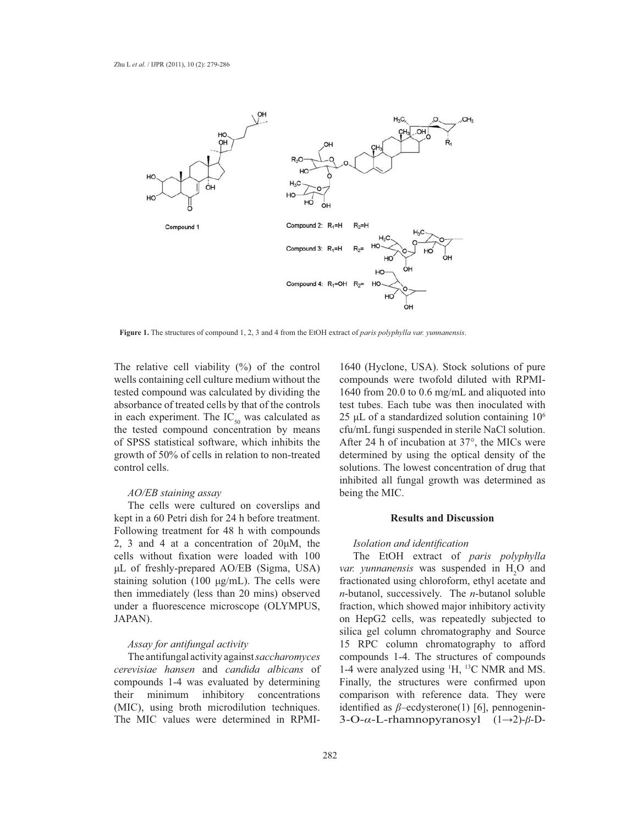

**Figure 1.** The structures of compound 1, 2, 3 and 4 from the EtOH extract of *paris polyphylla var. yunnanensis*.

The relative cell viability (%) of the control wells containing cell culture medium without the tested compound was calculated by dividing the absorbance of treated cells by that of the controls in each experiment. The  $IC_{50}$  was calculated as the tested compound concentration by means of SPSS statistical software, which inhibits the growth of 50% of cells in relation to non-treated control cells.

## *AO/EB staining assay*

The cells were cultured on coverslips and kept in a 60 Petri dish for 24 h before treatment. Following treatment for 48 h with compounds 2, 3 and 4 at a concentration of  $20\mu$ M, the cells without fixation were loaded with 100  $\mu$ L of freshly-prepared AO/EB (Sigma, USA) staining solution (100  $\mu$ g/mL). The cells were then immediately (less than 20 mins) observed under a fluorescence microscope (OLYMPUS, JAPAN).

## *Assay for antifungal activity*

The antifungal activity against*saccharomyces cerevisiae hansen* and *candida albicans* of compounds 1-4 was evaluated by determining their minimum inhibitory concentrations (MIC), using broth microdilution techniques. The MIC values were determined in RPMI-

1640 (Hyclone, USA). Stock solutions of pure compounds were twofold diluted with RPMI- 1640 from 20.0 to 0.6 mg/mL and aliquoted into test tubes. Each tube was then inoculated with  $25 \mu L$  of a standardized solution containing  $10^6$ cfu/mL fungi suspended in sterile NaCl solution. After 24 h of incubation at  $37^\circ$ , the MICs were determined by using the optical density of the solutions. The lowest concentration of drug that inhibited all fungal growth was determined as being the MIC.

## **Results and Discussion**

#### *Isolation and identification*

The EtOH extract of *paris polyphylla var. yunnanensis* was suspended in  $H_2O$  and fractionated using chloroform, ethyl acetate and *n*-butanol, successively. The *n*-butanol soluble fraction, which showed major inhibitory activity on HepG2 cells, was repeatedly subjected to silica gel column chromatography and Source 15 RPC column chromatography to afford compounds 1-4. The structures of compounds 1-4 were analyzed using <sup>1</sup>H, <sup>13</sup>C NMR and MS. Finally, the structures were confirmed upon comparison with reference data. They were identified as  $\beta$ –ecdysterone(1) [6], pennogenin- $3$ -O- $\alpha$ -L-rhamnopyranosyl  $(1\rightarrow 2)$ - $\beta$ -D-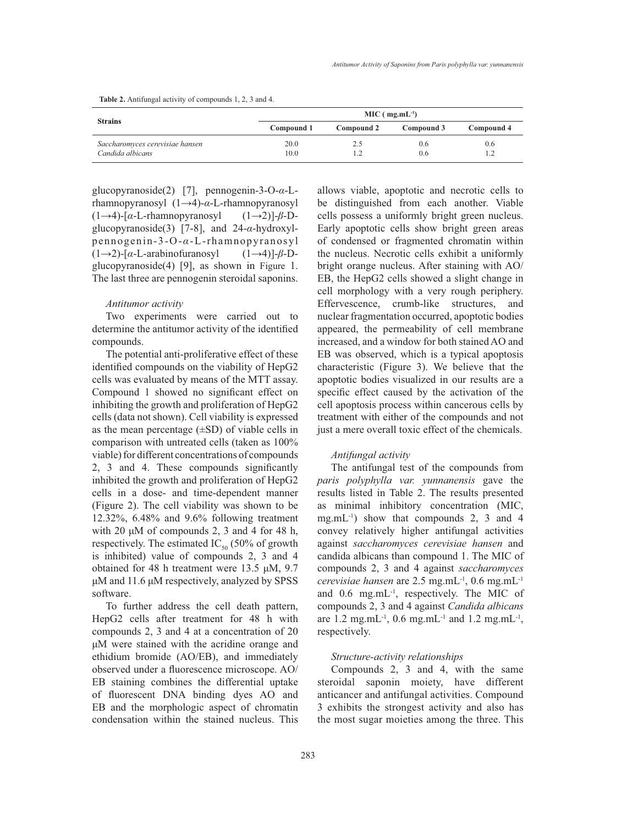**Table 2.** Antifungal activity of compounds 1, 2, 3 and 4.

| <b>Strains</b>                                      | $MIC (mg.mL-1)$ |            |            |            |  |  |  |
|-----------------------------------------------------|-----------------|------------|------------|------------|--|--|--|
|                                                     | Compound 1      | Compound 2 | Compound 3 | Compound 4 |  |  |  |
| Saccharomyces cerevisiae hansen<br>Candida albicans | 20.0<br>10.0    | 2.5<br>1.2 | 0.6<br>0.6 | 0.6<br>1.2 |  |  |  |

glucopyranoside(2) [7], pennogenin-3-O- $\alpha$ -Lrhamnopyranosyl  $(1\rightarrow 4)$ - $\alpha$ -L-rhamnopyranosyl  $(1\rightarrow 4)$ -[ $\alpha$ -L-rhamnopyranosyl  $(1\rightarrow 2)$ ]- $\beta$ -Dglucopyranoside(3) [7-8], and  $24-\alpha$ -hydroxylpennogenin-3-O-α-L-rhamnopyranosyl  $(1\rightarrow 2)$ -[ $\alpha$ -L-arabinofuranosyl  $(1\rightarrow 4)$ ]- $\beta$ -Dglucopyranoside(4) [9], as shown in Figure 1. The last three are pennogenin steroidal saponins.

#### *Antitumor activity*

Two experiments were carried out to determine the antitumor activity of the identified compounds.

The potential anti-proliferative effect of these identified compounds on the viability of HepG2 cells was evaluated by means of the MTT assay. Compound 1 showed no significant effect on inhibiting the growth and proliferation of HepG2 cells (data not shown). Cell viability is expressed as the mean percentage  $(\pm SD)$  of viable cells in comparison with untreated cells (taken as 100% viable) for different concentrations of compounds 2, 3 and 4. These compounds significantly inhibited the growth and proliferation of HepG2 cells in a dose- and time-dependent manner (Figure 2). The cell viability was shown to be 12.32%, 6.48% and 9.6% following treatment with 20  $\mu$ M of compounds 2, 3 and 4 for 48 h, respectively. The estimated  $IC_{50}$  (50% of growth is inhibited) value of compounds 2, 3 and 4 obtained for 48 h treatment were 13.5  $\mu$ M, 9.7  $\mu$ M and 11.6  $\mu$ M respectively, analyzed by SPSS software.

To further address the cell death pattern, HepG2 cells after treatment for 48 h with compounds 2, 3 and 4 at a concentration of 20 µM were stained with the acridine orange and ethidium bromide (AO/EB), and immediately observed under a fluorescence microscope. AO/ EB staining combines the differential uptake of fluorescent DNA binding dyes AO and EB and the morphologic aspect of chromatin condensation within the stained nucleus. This allows viable, apoptotic and necrotic cells to be distinguished from each another. Viable cells possess a uniformly bright green nucleus. Early apoptotic cells show bright green areas of condensed or fragmented chromatin within the nucleus. Necrotic cells exhibit a uniformly bright orange nucleus. After staining with AO/ EB, the HepG2 cells showed a slight change in cell morphology with a very rough periphery. Effervescence, crumb-like structures, and nuclear fragmentation occurred, apoptotic bodies appeared, the permeability of cell membrane increased, and a window for both stained AO and EB was observed, which is a typical apoptosis characteristic (Figure 3). We believe that the apoptotic bodies visualized in our results are a specific effect caused by the activation of the cell apoptosis process within cancerous cells by treatment with either of the compounds and not just a mere overall toxic effect of the chemicals.

#### *Antifungal activity*

The antifungal test of the compounds from *paris polyphylla var. yunnanensis* gave the results listed in Table 2. The results presented as minimal inhibitory concentration (MIC, mg.mL $^{-1}$ ) show that compounds 2, 3 and 4 convey relatively higher antifungal activities against *saccharomyces cerevisiae hansen* and candida albicans than compound 1. The MIC of compounds 2, 3 and 4 against *saccharomyces cerevisiae hansen* are 2.5 mg.mL<sup>-1</sup>, 0.6 mg.mL<sup>-1</sup> and 0.6 mg.mL<sup>-1</sup>, respectively. The MIC of compounds 2, 3 and 4 against *Candida albicans* are 1.2 mg.mL<sup>-1</sup>, 0.6 mg.mL<sup>-1</sup> and 1.2 mg.mL<sup>-1</sup>, respectively.

#### *Structure-activity relationships*

Compounds 2, 3 and 4, with the same steroidal saponin moiety, have different anticancer and antifungal activities. Compound 3 exhibits the strongest activity and also has the most sugar moieties among the three. This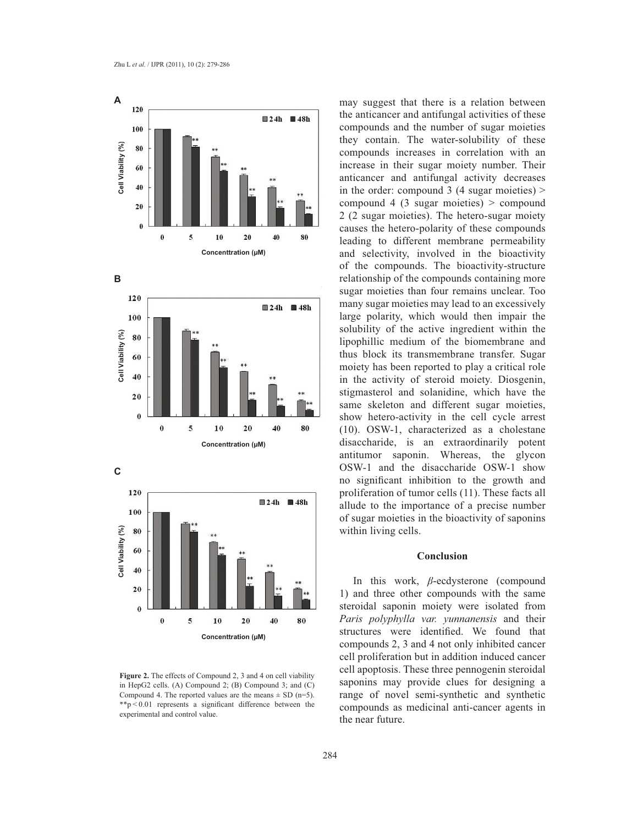





**Figure 2.** The effects of Compound 2, 3 and 4 on cell viability in HepG2 cells. (A) Compound 2; (B) Compound 3; and (C) Compound 4. The reported values are the means  $\pm$  SD (n=5).  $*$ <sup>\*</sup> $p$  < 0.01 represents a significant difference between the experimental and control value.

may suggest that there is a relation between the anticancer and antifungal activities of these compounds and the number of sugar moieties they contain. The water-solubility of these compounds increases in correlation with an increase in their sugar moiety number. Their anticancer and antifungal activity decreases in the order: compound  $3(4 \text{ sugar moieties}) >$ compound 4 (3 sugar moieties)  $>$  compound 2 (2 sugar moieties). The hetero-sugar moiety causes the hetero-polarity of these compounds leading to different membrane permeability and selectivity, involved in the bioactivity of the compounds. The bioactivity-structure relationship of the compounds containing more sugar moieties than four remains unclear. Too many sugar moieties may lead to an excessively large polarity, which would then impair the solubility of the active ingredient within the lipophillic medium of the biomembrane and thus block its transmembrane transfer. Sugar moiety has been reported to play a critical role in the activity of steroid moiety. Diosgenin, stigmasterol and solanidine, which have the same skeleton and different sugar moieties, show hetero-activity in the cell cycle arrest (10). OSW-1, characterized as a cholestane disaccharide, is an extraordinarily potent antitumor saponin. Whereas, the glycon OSW-1 and the disaccharide OSW-1 show no significant inhibition to the growth and proliferation of tumor cells (11). These facts all allude to the importance of a precise number of sugar moieties in the bioactivity of saponins within living cells.

## **Conclusion**

In this work, *ß*-ecdysterone (compound 1) and three other compounds with the same steroidal saponin moiety were isolated from *Paris polyphylla var. yunnanensis* and their structures were identified. We found that compounds 2, 3 and 4 not only inhibited cancer cell proliferation but in addition induced cancer cell apoptosis. These three pennogenin steroidal saponins may provide clues for designing a range of novel semi-synthetic and synthetic compounds as medicinal anti-cancer agents in the near future.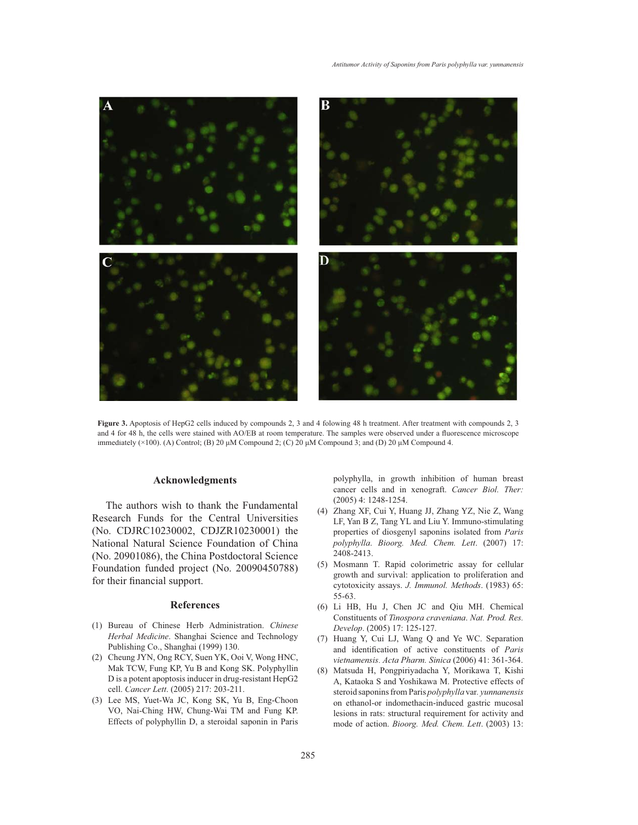

Figure 3. Apoptosis of HepG2 cells induced by compounds 2, 3 and 4 folowing 48 h treatment. After treatment with compounds 2, 3 and 4 for 48 h, the cells were stained with AO/EB at room temperature. The samples were observed under a fluorescence microscope immediately  $(\times 100)$ . (A) Control; (B) 20  $\mu$ M Compound 2; (C) 20  $\mu$ M Compound 3; and (D) 20  $\mu$ M Compound 4.

#### **Acknowledgments**

The authors wish to thank the Fundamental Research Funds for the Central Universities (No. CDJRC10230002, CDJZR10230001) the National Natural Science Foundation of China (No. 20901086), the China Postdoctoral Science Foundation funded project (No. 20090450788) for their financial support.

#### **References**

- Bureau of Chinese Herb Administration. *Chinese* (1) *Herbal Medicine*. Shanghai Science and Technology Publishing Co., Shanghai (1999) 130.
- (2) Cheung JYN, Ong RCY, Suen YK, Ooi V, Wong HNC, Mak TCW, Fung KP, Yu B and Kong SK. Polyphyllin D is a potent apoptosis inducer in drug-resistant HepG2 cell. *Cancer Lett*. (2005) 217: 203-211.
- (3) Lee MS, Yuet-Wa JC, Kong SK, Yu B, Eng-Choon VO, Nai-Ching HW, Chung-Wai TM and Fung KP. Effects of polyphyllin D, a steroidal saponin in Paris

polyphylla, in growth inhibition of human breast cancer cells and in xenograft. *Cancer Biol. Ther:* (2005) 4: 1248-1254.

- Zhang XF, Cui Y, Huang JJ, Zhang YZ, Nie Z, Wang (4) LF, Yan B Z, Tang YL and Liu Y. Immuno-stimulating properties of diosgenyl saponins isolated from *Paris polyphylla*. *Bioorg. Med. Chem. Lett*. (2007) 17: 2408-2413.
- (5) Mosmann T. Rapid colorimetric assay for cellular growth and survival: application to proliferation and cytotoxicity assays. *J. Immunol. Methods*. (1983) 65: 55-63.
- (6) Li HB, Hu J, Chen JC and Qiu MH. Chemical Constituents of *Tinospora craveniana*. *Nat. Prod. Res. Develop*. (2005) 17: 125-127.
- (7) Huang Y, Cui LJ, Wang Q and Ye WC. Separation and identification of active constituents of Paris *vietnamensis*. *Acta Pharm. Sinica* (2006) 41: 361-364.
- Matsuda H, Pongpiriyadacha Y, Morikawa T, Kishi A, Kataoka S and Yoshikawa M. Protective effects of steroid saponins from Paris *polyphylla* var*. yunnanensis* on ethanol-or indomethacin-induced gastric mucosal lesions in rats: structural requirement for activity and mode of action. *Bioorg. Med. Chem. Lett*. (2003) 13: (8)